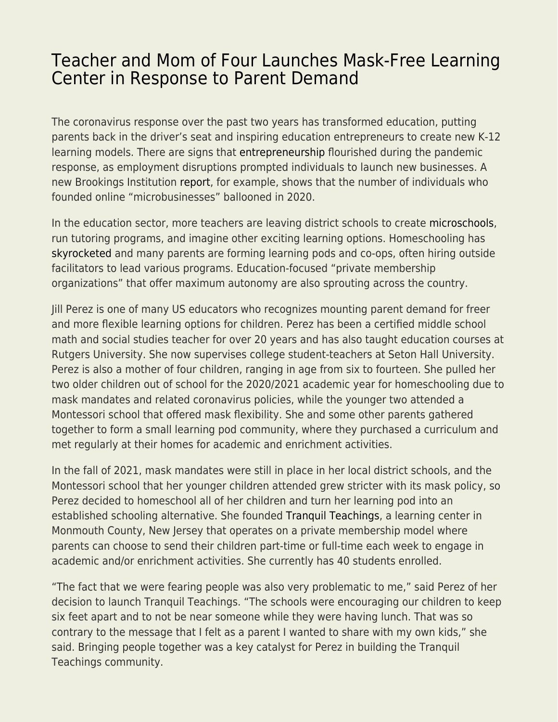## [Teacher and Mom of Four Launches Mask-Free Learning](https://everything-voluntary.com/teacher-and-mom-of-four-launches-mask-free-learning-center-in-response-to-parent-demand) [Center in Response to Parent Demand](https://everything-voluntary.com/teacher-and-mom-of-four-launches-mask-free-learning-center-in-response-to-parent-demand)

The coronavirus response over the past two years has transformed education, putting parents back in the driver's seat and inspiring education entrepreneurs to create new K-12 learning models. There are signs that [entrepreneurship](https://fee.org/articles/entrepreneurship-is-accelerating-at-the-fastest-rate-in-decades-during-this-pandemic/) flourished during the pandemic response, as employment disruptions prompted individuals to launch new businesses. A new Brookings Institution [report,](https://www.brookings.edu/blog/the-avenue/2022/01/04/microbusinesses-flourished-during-the-pandemic-now-we-must-tap-into-their-full-potential/) for example, shows that the number of individuals who founded online "microbusinesses" ballooned in 2020.

In the education sector, more teachers are leaving district schools to create [microschools,](https://fee.org/articles/burned-out-teachers-are-launching-their-own-schools-instead-of-abandoning-their-passion-and-succeeding/) run tutoring programs, and imagine other exciting learning options. Homeschooling has [skyrocketed](https://fee.org/articles/how-high-will-homeschooling-numbers-go/) and many parents are forming learning pods and co-ops, often hiring outside facilitators to lead various programs. Education-focused "private membership organizations" that offer maximum autonomy are also sprouting across the country.

Jill Perez is one of many US educators who recognizes mounting parent demand for freer and more flexible learning options for children. Perez has been a certified middle school math and social studies teacher for over 20 years and has also taught education courses at Rutgers University. She now supervises college student-teachers at Seton Hall University. Perez is also a mother of four children, ranging in age from six to fourteen. She pulled her two older children out of school for the 2020/2021 academic year for homeschooling due to mask mandates and related coronavirus policies, while the younger two attended a Montessori school that offered mask flexibility. She and some other parents gathered together to form a small learning pod community, where they purchased a curriculum and met regularly at their homes for academic and enrichment activities.

In the fall of 2021, mask mandates were still in place in her local district schools, and the Montessori school that her younger children attended grew stricter with its mask policy, so Perez decided to homeschool all of her children and turn her learning pod into an established schooling alternative. She founded [Tranquil Teachings,](https://www.facebook.com/TranquilteachingsJP) a learning center in Monmouth County, New Jersey that operates on a private membership model where parents can choose to send their children part-time or full-time each week to engage in academic and/or enrichment activities. She currently has 40 students enrolled.

"The fact that we were fearing people was also very problematic to me," said Perez of her decision to launch Tranquil Teachings. "The schools were encouraging our children to keep six feet apart and to not be near someone while they were having lunch. That was so contrary to the message that I felt as a parent I wanted to share with my own kids," she said. Bringing people together was a key catalyst for Perez in building the Tranquil Teachings community.